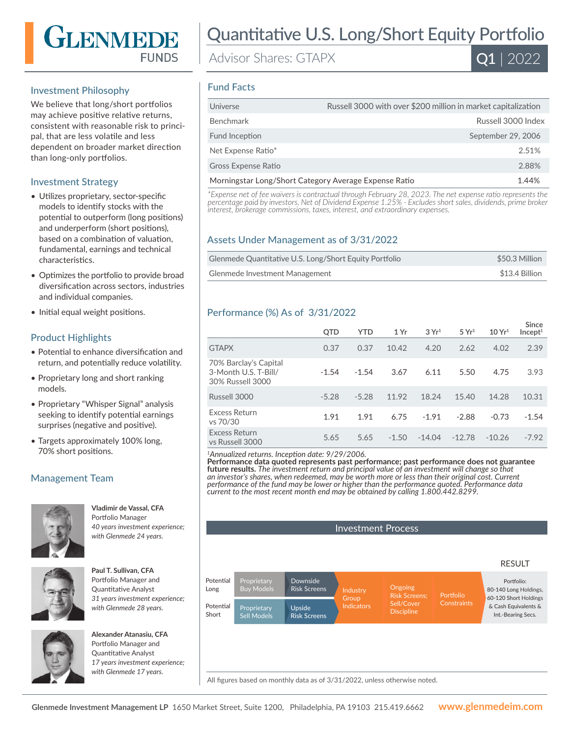# GLENMEDE **FUNDS**

## Investment Philosophy

We believe that long/short portfolios may achieve positive relative returns, consistent with reasonable risk to principal, that are less volatile and less dependent on broader market direction than long-only portfolios.

### Investment Strategy

- Utilizes proprietary, sector-specific models to identify stocks with the potential to outperform (long positions) and underperform (short positions), based on a combination of valuation, fundamental, earnings and technical characteristics.
- Optimizes the portfolio to provide broad diversification across sectors, industries and individual companies.
- Initial equal weight positions.

## Product Highlights

- Potential to enhance diversification and return, and potentially reduce volatility.
- Proprietary long and short ranking models.
- Proprietary "Whisper Signal" analysis seeking to identify potential earnings surprises (negative and positive).
- Targets approximately 100% long, 70% short positions.

# Management Team



**Vladimir de Vassal, CFA**  Portfolio Manager *40 years investment experience; with Glenmede 24 years.*



**Paul T. Sullivan, CFA**  Portfolio Manager and Quantitative Analyst *31 years investment experience; with Glenmede 28 years.*



**Alexander Atanasiu, CFA**  Portfolio Manager and Quantitative Analyst *17 years investment experience; with Glenmede 17 years.*

# Quantitative U.S. Long/Short Equity Portfolio

Advisor Shares: GTAPX



#### Fund Facts

| Russell 3000 with over \$200 million in market capitalization<br>Universe |  |
|---------------------------------------------------------------------------|--|
| <b>Benchmark</b><br>Russell 3000 Index                                    |  |
| September 29, 2006<br>Fund Inception                                      |  |
| Net Expense Ratio*<br>2.51%                                               |  |
| 2.88%<br><b>Gross Expense Ratio</b>                                       |  |
| Morningstar Long/Short Category Average Expense Ratio<br>1.44%            |  |

*\*Expense net of fee waivers is contractual through February 28, 2023. The net expense ratio represents the percentage paid by investors. Net of Dividend Expense 1.25% - Excludes short sales, dividends, prime broker interest, brokerage commissions, taxes, interest, and extraordinary expenses.*

#### Assets Under Management as of 3/31/2022

| Glenmede Quantitative U.S. Long/Short Equity Portfolio | \$50.3 Million |
|--------------------------------------------------------|----------------|
| Glenmede Investment Management                         | \$13.4 Billion |

### Performance (%) As of 3/31/2022

|                                                                   | <b>QTD</b> | <b>YTD</b> | 1 Yr    | 3 Yr <sup>1</sup> | 5 Yr <sup>1</sup> | 10 Yr <sup>1</sup> | Since<br>Incept <sup>1</sup> |
|-------------------------------------------------------------------|------------|------------|---------|-------------------|-------------------|--------------------|------------------------------|
| <b>GTAPX</b>                                                      | 0.37       | 0.37       | 10.42   | 4.20              | 2.62              | 4.02               | 2.39                         |
| 70% Barclay's Capital<br>3-Month U.S. T-Bill/<br>30% Russell 3000 | $-1.54$    | $-1.54$    | 3.67    | 6.11              | 5.50              | 4.75               | 3.93                         |
| Russell 3000                                                      | $-5.28$    | $-5.28$    | 11.92   | 18.24             | 15.40             | 14.28              | 10.31                        |
| Excess Return<br>vs 70/30                                         | 1.91       | 1.91       | 6.75    | $-1.91$           | $-2.88$           | $-0.73$            | $-1.54$                      |
| <b>Excess Return</b><br>vs Russell 3000                           | 5.65       | 5.65       | $-1.50$ | $-14.04$          | $-12.78$          | $-10.26$           | $-7.92$                      |

*<sup>1</sup>Annualized returns. Inception date: 9/29/2006.*

**Performance data quoted represents past performance; past performance does not guarantee future results.** *The investment return and principal value of an investment will change so that an investor's shares, when redeemed, may be worth more or less than their original cost. Current performance of the fund may be lower or higher than the performance quoted. Performance data current to the most recent month end may be obtained by calling 1.800.442.8299.*



All figures based on monthly data as of 3/31/2022, unless otherwise noted.